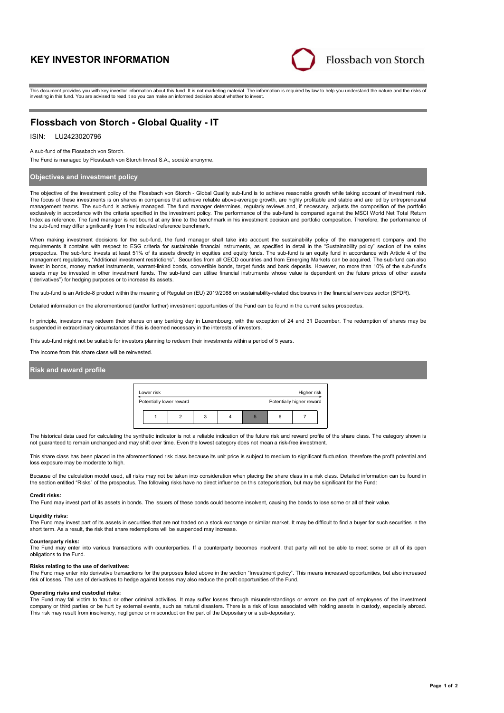# **KEY INVESTOR INFORMATION**



This document provides you with key investor information about this fund. It is not marketing material. The information is required by law to help you understand the nature and the risks of investing in this fund. You are advised to read it so you can make an informed decision about whether to invest.

# **Flossbach von Storch - Global Quality - IT**

## ISIN: LU2423020796

#### A sub-fund of the Flossbach von Storch.

The Fund is managed by Flossbach von Storch Invest S.A., société anonyme.

## **Objectives and investment policy**

The objective of the investment policy of the Flossbach von Storch - Global Quality sub-fund is to achieve reasonable growth while taking account of investment risk. The focus of these investments is on shares in companies that achieve reliable above-average growth, are highly profitable and stable and are led by entrepreneurial management teams. The sub-fund is actively managed. The fund manager determines, regularly reviews and, if necessary, adjusts the composition of the portfolio exclusively in accordance with the criteria specified in the investment policy. The performance of the sub-fund is compared against the MSCI World Net Total Return Index as reference. The fund manager is not bound at any time to the benchmark in his investment decision and portfolio composition. Therefore, the performance of the sub-fund may differ significantly from the indicated reference benchmark.

When making investment decisions for the sub-fund, the fund manager shall take into account the sustainability policy of the management company and the requirements it contains with respect to ESG criteria for sustainable financial instruments, as specified in detail in the "Sustainability policy" section of the sales prospectus. The sub-fund invests at least 51% of its assets directly in equities and equity funds. The sub-fund is an equity fund in accordance with Article 4 of the<br>management regulations, "Additional investment restricti invest in bonds, money market instruments, warrant-linked bonds, convertible bonds, target funds and bank deposits. However, no more than 10% of the sub-fund's assets may be invested in other investment funds. The sub-fund can utilise financial instruments whose value is dependent on the future prices of other assets ("derivatives") for hedging purposes or to increase its assets.

The sub-fund is an Article-8 product within the meaning of Regulation (EU) 2019/2088 on sustainability-related disclosures in the financial services sector (SFDR).

Detailed information on the aforementioned (and/or further) investment opportunities of the Fund can be found in the current sales prospectus.

In principle, investors may redeem their shares on any banking day in Luxembourg, with the exception of 24 and 31 December. The redemption of shares may be suspended in extraordinary circumstances if this is deemed necessary in the interests of investors.

This sub-fund might not be suitable for investors planning to redeem their investments within a period of 5 years.

The income from this share class will be reinvested.

## **Risk and reward profile**



The historical data used for calculating the synthetic indicator is not a reliable indication of the future risk and reward profile of the share class. The category shown is not guaranteed to remain unchanged and may shift over time. Even the lowest category does not mean a risk-free investment.

This share class has been placed in the aforementioned risk class because its unit price is subject to medium to significant fluctuation, therefore the profit potential and loss exposure may be moderate to high.

Because of the calculation model used, all risks may not be taken into consideration when placing the share class in a risk class. Detailed information can be found in the section entitled "Risks" of the prospectus. The following risks have no direct influence on this categorisation, but may be significant for the Fund:

#### **Credit risks:**

The Fund may invest part of its assets in bonds. The issuers of these bonds could become insolvent, causing the bonds to lose some or all of their value.

### **Liquidity risks:**

The Fund may invest part of its assets in securities that are not traded on a stock exchange or similar market. It may be difficult to find a buyer for such securities in the short term. As a result, the risk that share redemptions will be suspended may increase.

#### **Counterparty risks:**

The Fund may enter into various transactions with counterparties. If a counterparty becomes insolvent, that party will not be able to meet some or all of its open obligations to the Fund.

#### **Risks relating to the use of derivatives:**

The Fund may enter into derivative transactions for the purposes listed above in the section "Investment policy". This means increased opportunities, but also increased risk of losses. The use of derivatives to hedge against losses may also reduce the profit opportunities of the Fund.

#### **Operating risks and custodial risks:**

The Fund may fall victim to fraud or other criminal activities. It may suffer losses through misunderstandings or errors on the part of employees of the investment company or third parties or be hurt by external events, such as natural disasters. There is a risk of loss associated with holding assets in custody, especially abroad. This risk may result from insolvency, negligence or misconduct on the part of the Depositary or a sub-depositary.